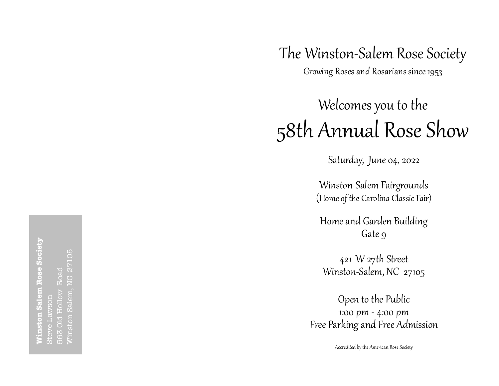## The Winston-Salem Rose Society

Growing Roses and Rosarians since 1953

# Welcomes you to the 58th Annual Rose Show

Sat urday, June 04, 2022

Winston-Salem Fairg rounds (Home of the Carolina Classic Fair)

Home and Garden Building Gate 9

421 W 27th St reet Winston-Salem, NC 27105

Open to the Public 1:00 pm - 4:00 pm Free Parking and Free Admission

Accredited by the American Rose Society

**Winston Salem Rose Society** m Rose Society 27105 Winston Salem, NC 27105 563 Old Hollow Road Steve Lawson Sale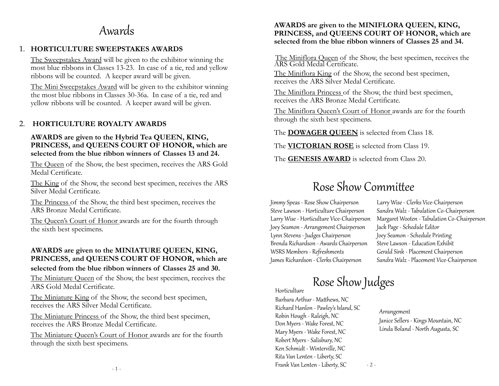### Awards

#### 1. **HORTICULTURE SWEEPSTAKES AWARDS**

The Sweepstakes Award will be given to the exhibitor winning the most blue ribbons in Classes 13-23. In case of a tie, red and yellow ribbons will be counted. A keeper award will be given.

The Mini Sweepstakes Award will be given to the exhibitor winning the most blue ribbons in Classes 30-36a. In case of a tie, red and yellow ribbons will be counted. A keeper award will be given.

#### 2. **HORTICULTURE ROYALTY AWARDS**

#### **AWARDS are given to the Hybrid Tea QUEEN, KING, PRINCESS, and QUEENS COURT OF HONOR, which are selected from the blue ribbon winners of Classes 13 and 24.**

**Sizes** Sizes The Queen of the Show, the best specimen, receives the ARS Gold

The King of the Show, the second best specimen, receives the ARS Silver Medal Certificate.

The Princess of the Show, the third best specimen, receives the ARS Bronze Medal Certificate.

The Queen's Court of Honor awards are for the fourth through the sixth best specimens.

#### **AWARDS are given to the MINIATURE QUEEN, KING, PRINCESS, and QUEENS COURT OF HONOR, which are selected from the blue ribbon winners of Classes 25 and 30.**

The Miniature Queen of the Show, the best specimen, receives the ARS Gold Medal Certificate.

The Miniature King of the Show, the second best specimen, receives the ARS Silver Medal Certificate.

The Miniature Princess of the Show, the third best specimen, receives the ARS Bronze Medal Certificate.

The Miniature Queen's Court of Honor awards are for the fourth through the sixth best specimens.

#### **AWARDS are given to the MINIFLORA QUEEN, KING, PRINCESS, and QUEENS COURT OF HONOR, which are selected from the blue ribbon winners of Classes 25 and 34.**

The Miniflora Queen of the Show, the best specimen, receives the ARS Gold Medal Certificate.

The Miniflora King of the Show, the second best specimen, receives the ARS Silver Medal Certificate.

The Miniflora Princess of the Show, the third best specimen, receives the ARS Bronze Medal Certificate.

The Miniflora Queen's Court of Honor awards are for the fourth through the sixth best specimens.

The **DOWAGER QUEEN** is selected from Class 18.

The **VICTORIAN ROSE** is selected from Class 19.

The **GENESIS AWARD** is selected from Class 20.

### Rose Show Committee

Jimmy Speas - Rose Show Chairperson Steve Lawson - Horticulture Chairperson Larry Wise - Horticulture Vice-Chairperson Joey Seamon - Arrangement Chairperson Lynn Stevens - Judges Chairperson Brenda Richardson - Awards Chairperson WSRS Members - Refreshments James Richardson - Clerks Chairperson

Larry Wise - Clerks Vice-Chairperson Sandra Walz - Tabulation Co-Chairperson Margaret Wooten - Tabulation Co-Chairperson Jack Page - Schedule Editor Joey Seamon - Schedule Printing Steve Lawson - Education Exhibit Gerald Sink - Placement Chairperson Sandra Walz - Placement Vice-Chairperson

## **Rose Show Judges**

- 2 -

Barbara Arthur - Matthews, NC Richard Hanlon - Pawley's Island, SC Robin Hough - Raleigh, NC Don Myers - Wake Forest, NC Mary Myers - Wake Forest, NC Robert Myers - Salisbury, NC Ken Schmidt - Winterville, NC Rita Van Lenten - Liberty, SC Frank Van Lenten - Liberty, SC

Arrangement Janice Sellers - Kings Mountain, NC Linda Boland - North Augusta, SC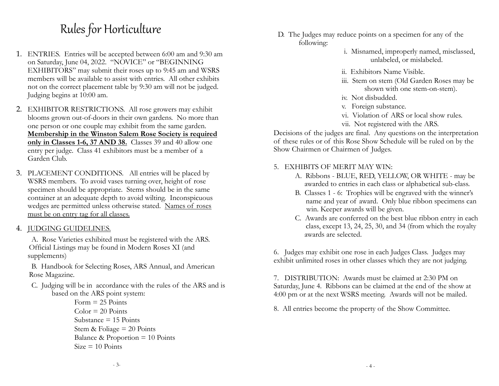### Rules for Horticulture

- 1. ENTRIES. Entries will be accepted between 6:00 am and 9:30 am on Saturday, June 04, 2022. "NOVICE" or "BEGINNING EXHIBITORS" may submit their roses up to 9:45 am and WSRS members will be available to assist with entries. All other exhibits not on the correct placement table by 9:30 am will not be judged. Judging begins at 10:00 am.
- 2. EXHIBITOR RESTRICTIONS. All rose growers may exhibit blooms grown out-of-doors in their own gardens. No more than one person or one couple may exhibit from the same garden. **Membership in the Winston Salem Rose Society is required only in Classes 1-6, 37 AND 38.** Classes 39 and 40 allow one entry per judge. Class 41 exhibitors must be a member of a Garden Club.
- 3. PLACEMENT CONDITIONS. All entries will be placed by WSRS members. To avoid vases turning over, height of rose specimen should be appropriate. Stems should be in the same container at an adequate depth to avoid wilting. Inconspicuous wedges are permitted unless otherwise stated. Names of roses must be on entry tag for all classes.
- 4. JUDGING GUIDELINES.

 A. Rose Varieties exhibited must be registered with the ARS. Official Listings may be found in Modern Roses XI (and supplements)

 B. Handbook for Selecting Roses, ARS Annual, and American Rose Magazine.

- C. Judging will be in accordance with the rules of the ARS and is based on the ARS point system:
	- $Form = 25$  Points  $Color = 20$  Points Substance  $= 15$  Points Stem & Foliage  $= 20$  Points Balance & Proportion = 10 Points  $Size = 10$  Points
- D. The Judges may reduce points on a specimen for any of the following:
	- i. Misnamed, improperly named, misclassed, unlabeled, or mislabeled.
	- ii. Exhibitors Name Visible.
	- iii. Stem on stem (Old Garden Roses may be shown with one stem-on-stem).
	- iv. Not disbudded.
	- v. Foreign substance.
	- vi. Violation of ARS or local show rules.
	- vii. Not registered with the ARS.

Decisions of the judges are final. Any questions on the interpretation of these rules or of this Rose Show Schedule will be ruled on by the Show Chairmen or Chairmen of Judges.

- 5. EXHIBITS OF MERIT MAY WIN:
	- A. Ribbons BLUE, RED, YELLOW, OR WHITE may be awarded to entries in each class or alphabetical sub-class.
	- B. Classes 1 6: Trophies will be engraved with the winner's name and year of award. Only blue ribbon specimens can win. Keeper awards will be given.
	- C. Awards are conferred on the best blue ribbon entry in each class, except 13, 24, 25, 30, and 34 (from which the royalty awards are selected.

6. Judges may exhibit one rose in each Judges Class. Judges may exhibit unlimited roses in other classes which they are not judging.

7. DISTRIBUTION: Awards must be claimed at 2:30 PM on Saturday, June 4. Ribbons can be claimed at the end of the show at 4:00 pm or at the next WSRS meeting. Awards will not be mailed.

8. All entries become the property of the Show Committee.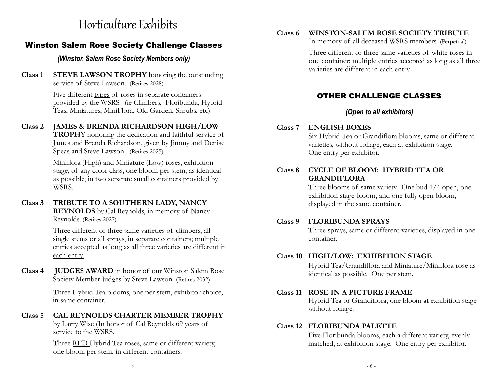### Horticulture Exhibits

#### Winston Salem Rose Society Challenge Classes

#### *(Winston Salem Rose Society Members only)*

**Class 1 STEVE LAWSON TROPHY** honoring the outstanding service of Steve Lawson. (Retires 2028)

> Five different types of roses in separate containers provided by the WSRS. (ie Climbers, Floribunda, Hybrid Teas, Miniatures, MiniFlora, Old Garden, Shrubs, etc)

#### **Class 2 JAMES & BRENDA RICHARDSON HIGH/LOW**

**TROPHY** honoring the dedication and faithful service of James and Brenda Richardson, given by Jimmy and Denise Speas and Steve Lawson.(Retires 2025)

Miniflora (High) and Miniature (Low) roses, exhibition stage, of any color class, one bloom per stem, as identical as possible, in two separate small containers provided by WSRS.

#### **Class 3 TRIBUTE TO A SOUTHERN LADY, NANCY**

**REYNOLDS** by Cal Reynolds, in memory of Nancy Reynolds. (Retires 2027)

Three different or three same varieties of climbers, all single stems or all sprays, in separate containers; multiple entries accepted as long as all three varieties are different in each entry.

**Class 4 JUDGES AWARD** in honor of our Winston Salem Rose Society Member Judges by Steve Lawson. (Retires 2032)

> Three Hybrid Tea blooms, one per stem, exhibitor choice, in same container.

**Class 5 CAL REYNOLDS CHARTER MEMBER TROPHY**  by Larry Wise (In honor of Cal Reynolds 69 years of service to the WSRS.

> Three RED Hybrid Tea roses, same or different variety, one bloom per stem, in different containers.

#### **Class 6 WINSTON-SALEM ROSE SOCIETY TRIBUTE**

In memory of all deceased WSRS members. (Perpetual)

Three different or three same varieties of white roses in one container; multiple entries accepted as long as all three varieties are different in each entry.

### OTHER CHALLENGE CLASSES

#### *(Open to all exhibitors)*

#### **Class 7 ENGLISH BOXES**

Six Hybrid Tea or Grandiflora blooms, same or different varieties, without foliage, each at exhibition stage. One entry per exhibitor.

#### **Class 8 CYCLE OF BLOOM: HYBRID TEA OR GRANDIFLORA**

Three blooms of same variety. One bud 1/4 open, one exhibition stage bloom, and one fully open bloom, displayed in the same container.

#### **Class 9 FLORIBUNDA SPRAYS**

Three sprays, same or different varieties, displayed in one container.

#### **Class 10 HIGH/LOW: EXHIBITION STAGE**

Hybrid Tea/Grandiflora and Miniature/Miniflora rose as identical as possible. One per stem.

#### **Class 11 ROSE IN A PICTURE FRAME**

Hybrid Tea or Grandiflora, one bloom at exhibition stage without foliage.

#### **Class 12 FLORIBUNDA PALETTE**

Five Floribunda blooms, each a different variety, evenly matched, at exhibition stage. One entry per exhibitor.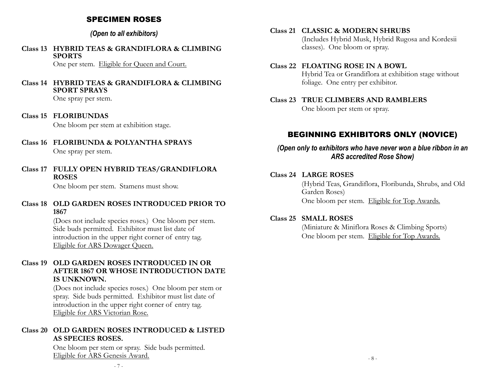#### SPECIMEN ROSES

#### *(Open to all exhibitors)*

**Class 13 HYBRID TEAS & GRANDIFLORA & CLIMBING SPORTS** 

One per stem. Eligible for Queen and Court.

#### **Class 14 HYBRID TEAS & GRANDIFLORA & CLIMBING SPORT SPRAYS**

One spray per stem.

**Class 15 FLORIBUNDAS**

One bloom per stem at exhibition stage.

- **Class 16 FLORIBUNDA & POLYANTHA SPRAYS** One spray per stem.
- **Class 17 FULLY OPEN HYBRID TEAS/GRANDIFLORA ROSES**

One bloom per stem. Stamens must show.

#### **Class 18 OLD GARDEN ROSES INTRODUCED PRIOR TO 1867**

(Does not include species roses.) One bloom per stem. Side buds permitted. Exhibitor must list date of introduction in the upper right corner of entry tag. Eligible for ARS Dowager Queen.

#### **Class 19 OLD GARDEN ROSES INTRODUCED IN OR AFTER 1867 OR WHOSE INTRODUCTION DATE IS UNKNOWN.**

(Does not include species roses.) One bloom per stem or spray. Side buds permitted. Exhibitor must list date of introduction in the upper right corner of entry tag. Eligible for ARS Victorian Rose.

#### **Class 20 OLD GARDEN ROSES INTRODUCED & LISTED AS SPECIES ROSES.**

One bloom per stem or spray. Side buds permitted. Eligible for ARS Genesis Award.

**Class 21 CLASSIC & MODERN SHRUBS**  (Includes Hybrid Musk, Hybrid Rugosa and Kordesii classes). One bloom or spray.

#### **Class 22 FLOATING ROSE IN A BOWL**  Hybrid Tea or Grandiflora at exhibition stage without foliage. One entry per exhibitor.

**Class 23 TRUE CLIMBERS AND RAMBLERS** One bloom per stem or spray.

#### BEGINNING EXHIBITORS ONLY (NOVICE)

*(Open only to exhibitors who have never won a blue ribbon in an ARS accredited Rose Show)*

#### **Class 24 LARGE ROSES**

(Hybrid Teas, Grandiflora, Floribunda, Shrubs, and Old Garden Roses) One bloom per stem. Eligible for Top Awards.

#### **Class 25 SMALL ROSES**

(Miniature & Miniflora Roses & Climbing Sports) One bloom per stem. Eligible for Top Awards.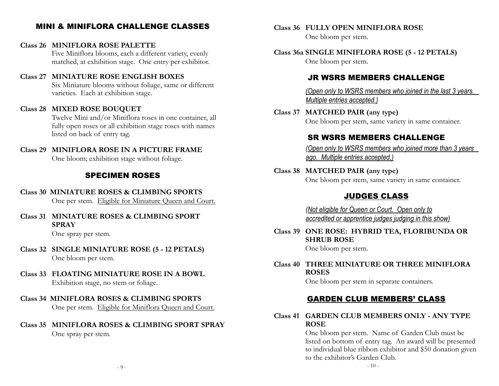#### MINI & MINIFLORA CHALLENGE CLASSES

#### **Class 26 MINIFLORA ROSE PALETTE**

Five Miniflora blooms, each a different variety, evenly matched, at exhibition stage. One entry per exhibitor.

#### **Class 27 MINIATURE ROSE ENGLISH BOXES**

Six Miniature blooms without foliage, same or different varieties. Each at exhibition stage.

#### **Class 28 MIXED ROSE BOUQUET**

Twelve Mini and/or Miniflora roses in one container, all fully open roses or all exhibition stage roses with names listed on back of entry tag.

#### **Class 29 MINIFLORA ROSE IN A PICTURE FRAME** One bloom; exhibition stage without foliage.

#### SPECIMEN ROSES

#### **Class 30 MINIATURE ROSES & CLIMBING SPORTS**

One per stem. Eligible for Miniature Queen and Court.

**Class 31 MINIATURE ROSES & CLIMBING SPORT SPRAY**

One spray per stem.

- **Class 32 SINGLE MINIATURE ROSE (5 12 PETALS)** One bloom per stem.
- **Class 33 FLOATING MINIATURE ROSE IN A BOWL** Exhibition stage, no stem or foliage.
- **Class 34 MINIFLORA ROSES & CLIMBING SPORTS**

One per stem. Eligible for Miniflora Queen and Court.

**Class 35 MINIFLORA ROSES & CLIMBING SPORT SPRAY** One spray per stem.

#### **Class 36 FULLY OPEN MINIFLORA ROSE**

One bloom per stem.

**Class 36a SINGLE MINIFLORA ROSE (5 - 12 PETALS)** One bloom per stem.

#### JR WSRS MEMBERS CHALLENGE

*(Open only to WSRS members who joined in the last 3 years. Multiple entries accepted.)*

**Class 37 MATCHED PAIR (any type)** One bloom per stem, same variety in same container.

#### SR WSRS MEMBERS CHALLENGE

*(Open only to WSRS members who joined more than 3 years ago. Multiple entries accepted.)*

**Class 38 MATCHED PAIR (any type)** One bloom per stem, same variety in same container.

#### JUDGES CLASS

*(Not eligible for Queen or Court. Open only to accredited or apprentice judges judging in this show)*

**Class 39 ONE ROSE: HYBRID TEA, FLORIBUNDA OR SHRUB ROSE**

One bloom per stem.

#### **Class 40 THREE MINIATURE OR THREE MINIFLORA ROSES**

One bloom per stem in separate containers.

#### GARDEN CLUB MEMBERS' CLASS

#### **Class 41 GARDEN CLUB MEMBERS ONLY - ANY TYPE ROSE**

One bloom per stem. Name of Garden Club must be listed on bottom of entry tag. An award will be presented to individual blue ribbon exhibitor and \$50 donation given to the exhibitor's Garden Club.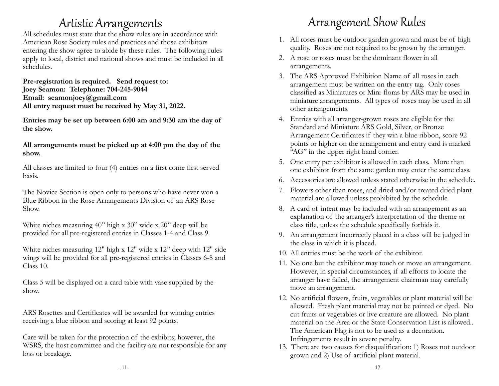### **Artistic Arrangements**

All schedules must state that the show rules are in accordance with American Rose Society rules and practices and those exhibitors entering the show agree to abide by these rules. The following rules apply to local, district and national shows and must be included in all schedules.

**Pre-registration is required. Send request to: Joey Seamon: Telephone: 704-245-9044 Email: seamonjoey@gmail.com All entry request must be received by May 31, 2022.**

**Entries may be set up between 6:00 am and 9:30 am the day of the show.** 

**All arrangements must be picked up at 4:00 pm the day of the show.**

All classes are limited to four (4) entries on a first come first served basis.

The Novice Section is open only to persons who have never won a Blue Ribbon in the Rose Arrangements Division of an ARS Rose Show.

White niches measuring 40" high x 30" wide x 20" deep will be provided for all pre-registered entries in Classes 1-4 and Class 9.

White niches measuring 12" high x 12" wide x 12" deep with 12" side wings will be provided for all pre-registered entries in Classes 6-8 and Class 10.

Class 5 will be displayed on a card table with vase supplied by the show.

ARS Rosettes and Certificates will be awarded for winning entries receiving a blue ribbon and scoring at least 92 points.

Care will be taken for the protection of the exhibits; however, the WSRS, the host committee and the facility are not responsible for any loss or breakage.

## Arrangement Show Rules

- 1. All roses must be outdoor garden grown and must be of high quality. Roses are not required to be grown by the arranger.
- 2. A rose or roses must be the dominant flower in all arrangements.
- 3. The ARS Approved Exhibition Name of all roses in each arrangement must be written on the entry tag. Only roses classified as Miniatures or Mini-floras by ARS may be used in miniature arrangements. All types of roses may be used in all other arrangements.
- 4. Entries with all arranger-grown roses are eligible for the Standard and Miniature ARS Gold, Silver, or Bronze Arrangement Certificates if they win a blue ribbon, score 92 points or higher on the arrangement and entry card is marked "AG" in the upper right hand corner.
- 5. One entry per exhibitor is allowed in each class. More than one exhibitor from the same garden may enter the same class.
- 6. Accessories are allowed unless stated otherwise in the schedule.
- 7. Flowers other than roses, and dried and/or treated dried plant material are allowed unless prohibited by the schedule.
- 8. A card of intent may be included with an arrangement as an explanation of the arranger's interpretation of the theme or class title, unless the schedule specifically forbids it.
- 9. An arrangement incorrectly placed in a class will be judged in the class in which it is placed.
- 10. All entries must be the work of the exhibitor.
- 11. No one but the exhibitor may touch or move an arrangement. However, in special circumstances, if all efforts to locate the arranger have failed, the arrangement chairman may carefully move an arrangement.
- 12. No artificial flowers, fruits, vegetables or plant material will be allowed. Fresh plant material may not be painted or dyed. No cut fruits or vegetables or live creature are allowed. No plant material on the Area or the State Conservation List is allowed.. The American Flag is not to be used as a decoration. Infringements result in severe penalty.
- 13. There are two causes for disqualification: 1) Roses not outdoor grown and 2) Use of artificial plant material.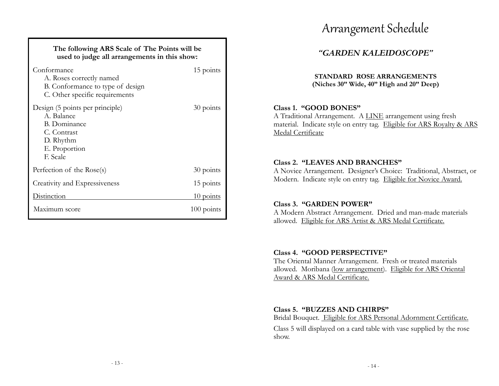| The following ARS Scale of The Points will be<br>used to judge all arrangements in this show:                                 |                                               |  |
|-------------------------------------------------------------------------------------------------------------------------------|-----------------------------------------------|--|
| Conformance<br>A. Roses correctly named<br>B. Conformance to type of design<br>C. Other specific requirements                 | 15 points                                     |  |
| Design (5 points per principle)<br>A. Balance<br><b>B.</b> Dominance<br>C. Contrast<br>D. Rhythm<br>E. Proportion<br>F. Scale | 30 points                                     |  |
| Perfection of the Rose(s)                                                                                                     | 30 points                                     |  |
| Creativity and Expressiveness                                                                                                 | 15 points                                     |  |
| <b>Distinction</b>                                                                                                            | $\frac{10 \text{ points}}{10 \text{ points}}$ |  |
| Maximum score                                                                                                                 | $100$ points                                  |  |

### Arrangement Schedule

### *"GARDEN KALEIDOSCOPE"*

**STANDARD ROSE ARRANGEMENTS (Niches 30" Wide, 40" High and 20" Deep)**

#### **Class 1. "GOOD BONES"**

A Traditional Arrangement. A LINE arrangement using fresh material. Indicate style on entry tag. Eligible for ARS Royalty & ARS Medal Certificate

#### **Class 2. "LEAVES AND BRANCHES"**

A Novice Arrangement. Designer's Choice: Traditional, Abstract, or Modern. Indicate style on entry tag. Eligible for Novice Award.

#### **Class 3. "GARDEN POWER"**

A Modern Abstract Arrangement. Dried and man-made materials allowed. Eligible for ARS Artist & ARS Medal Certificate.

#### **Class 4. "GOOD PERSPECTIVE"**

The Oriental Manner Arrangement. Fresh or treated materials allowed. Moribana (low arrangement). Eligible for ARS Oriental Award & ARS Medal Certificate.

#### **Class 5. "BUZZES AND CHIRPS"**

Bridal Bouquet. Eligible for ARS Personal Adornment Certificate.

Class 5 will displayed on a card table with vase supplied by the rose show.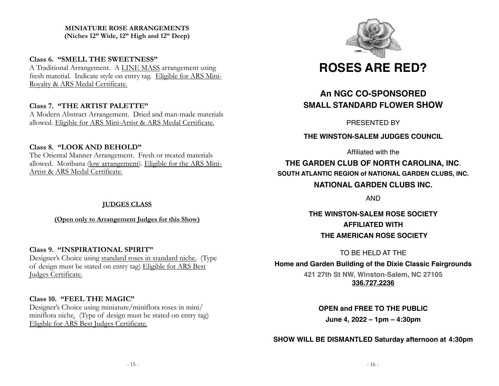#### **MINIATURE ROSE ARRANGEMENTS (Niches 12" Wide, 12" High and 12" Deep)**

#### **Class 6. "SMELL THE SWEETNESS"**

A Traditional Arrangement. A LINE MASS arrangement using fresh material. Indicate style on entry tag. Eligible for ARS Mini-Royalty & ARS Medal Certificate.

#### **Class 7. "THE ARTIST PALETTE"**

A Modern Abstract Arrangement. Dried and man-made materials allowed. Eligible for ARS Mini-Artist & ARS Medal Certificate.

#### **Class 8. "LOOK AND BEHOLD"**

The Oriental Manner Arrangement. Fresh or treated materials allowed. Moribana (low arrangement). Eligible for the ARS Mini-Artist & ARS Medal Certificate.

#### **JUDGES CLASS**

**(Open only to Arrangement Judges for this Show)**

#### **Class 9. "INSPIRATIONAL SPIRIT"**

Designer's Choice using standard roses in standard niche. (Type of design must be stated on entry tag) Eligible for ARS Best Judges Certificate.

#### **Class 10. "FEEL THE MAGIC"**

Designer's Choice using miniature/miniflora roses in mini/ miniflora niche. (Type of design must be stated on entry tag) Eligible for ARS Best Judges Certificate.



### **ROSES ARE RED?**

### **An NGC CO-SPONSORED SMALL STANDARD FLOWER SHOW**

PRESENTED BY

**THE WINSTON-SALEM JUDGES COUNCIL**

Affiliated with the

**THE GARDEN CLUB OF NORTH CAROLINA, INC**. **SOUTH ATLANTIC REGION of NATIONAL GARDEN CLUBS, INC. NATIONAL GARDEN CLUBS INC.**

AND

**THE WINSTON-SALEM ROSE SOCIETY AFFILIATED WITH THE AMERICAN ROSE SOCIETY**

TO BE HELD AT THE

**Home and Garden Building of the Dixie Classic Fairgrounds**

**421 27th St NW, Winston-Salem, NC 27105 [336.727.2236](tel:336.727.2236)**

**OPEN and FREE TO THE PUBLIC** 

**June 4, 2022 – 1pm – 4:30pm**

**SHOW WILL BE DISMANTLED Saturday afternoon at 4:30pm**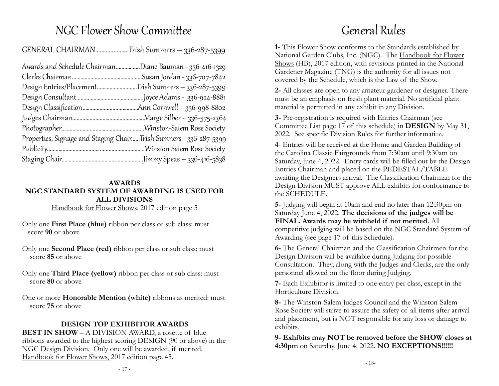### NGC Flower Show Committee

GENERAL CHAIRMAN………………….Trish Summers – 336-287-5399

| Awards and Schedule Chairman | Diane Bauman - 336-416-1329.                                      |
|------------------------------|-------------------------------------------------------------------|
|                              | Susan Jordan - 336-707-7842                                       |
| Design Entries/Placement     | .Trish Sumners – 336-287-5399                                     |
|                              | ]oyce Adams - 336-924-8881                                        |
|                              | Ann Cornwell - 336-998-8802.                                      |
|                              |                                                                   |
|                              |                                                                   |
|                              | Properties, Signage and Staging ChairTrish Sumners - 336-287-5399 |
|                              |                                                                   |
|                              |                                                                   |
|                              |                                                                   |

#### **AWARDS NGC STANDARD SYSTEM OF AWARDING IS USED FOR ALL DIVISIONS**

Handbook for Flower Shows, 2017 edition page 5

- Only one **First Place (blue)** ribbon per class or sub class: must score **90** or above
- Only one **Second Place (red)** ribbon per class or sub class: must score **85** or above
- Only one **Third Place (yellow)** ribbon per class or sub class: must score **80** or above
- One or more **Honorable Mention (white)** ribbons as merited: must score **75** or above

#### **DESIGN TOP EXHIBITOR AWARDS**

**BEST IN SHOW** – A DIVISION AWARD, a rosette of blue ribbons awarded to the highest scoring DESIGN (90 or above) in the NGC Design Division. Only one will be awarded, if merited. Handbook for Flower Shows, 2017 edition page 45.

### General Rules

**1-** This Flower Show conforms to the Standards established by National Garden Clubs, Inc. (NGC). The Handbook for Flower Shows (HB), 2017 edition, with revisions printed in the National Gardener Magazine (TNG) is the authority for all issues not covered by the Schedule, which is the Law of the Show.

**2-** All classes are open to any amateur gardener or designer. There must be an emphasis on fresh plant material. No artificial plant material is permitted in any exhibit in any Division.

**3-** Pre-registration is required with Entries Chairman (see Committee List page 17 of this schedule) in **DESIGN** by May 31, 2022. See specific Division Rules for further information.

**4**- Entries will be received at the Home and Garden Building of the Carolina Classic Fairgrounds from 7:30am until 9:30am on Saturday, June 4, 2022. Entry cards will be filled out by the Design Entries Chairman and placed on the PEDESTAL/TABLE awaiting the Designers arrival. The Classification Chairman for the Design Division MUST approve ALL exhibits for conformance to the SCHEDULE.

**5-** Judging will begin at 10am and end no later than 12:30pm on Saturday June 4, 2022. **The decisions of the judges will be FINAL. Awards may be withheld if not merited.** All competitive judging will be based on the NGC Standard System of Awarding (see page 17 of this Schedule).

**6-** The General Chairman and the Classification Chairmen for the Design Division will be available during Judging for possible Consultation. They, along with the Judges and Clerks, are the only personnel allowed on the floor during Judging.

**7-** Each Exhibitor is limited to one entry per class, except in the Horticulture Division.

**8-** The Winston-Salem Judges Council and the Winston-Salem Rose Society will strive to assure the safety of all items after arrival and placement, but is NOT responsible for any loss or damage to exhibits.

**9- Exhibits may NOT be removed before the SHOW closes at 4:30pm** on Saturday, June 4, 2022. **NO EXCEPTIONS!!!!!!**